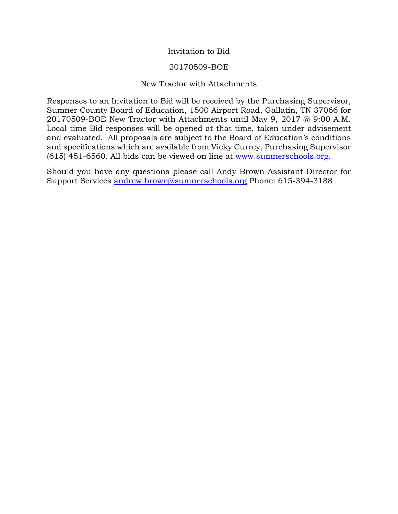# Invitation to Bid

## 20170509-BOE

# New Tractor with Attachments

Responses to an Invitation to Bid will be received by the Purchasing Supervisor, Sumner County Board of Education, 1500 Airport Road, Gallatin, TN 37066 for 20170509-BOE New Tractor with Attachments until May 9, 2017 @ 9:00 A.M. Local time Bid responses will be opened at that time, taken under advisement and evaluated. All proposals are subject to the Board of Education's conditions and specifications which are available from Vicky Currey, Purchasing Supervisor (615) 451-6560. All bids can be viewed on line at [www.sumnerschools.org.](http://www.sumnerschools.org/)

Should you have any questions please call Andy Brown Assistant Director for Support Services [andrew.brown@sumnerschools.org](mailto:andrew.brown@sumnerschools.org) Phone: 615-394-3188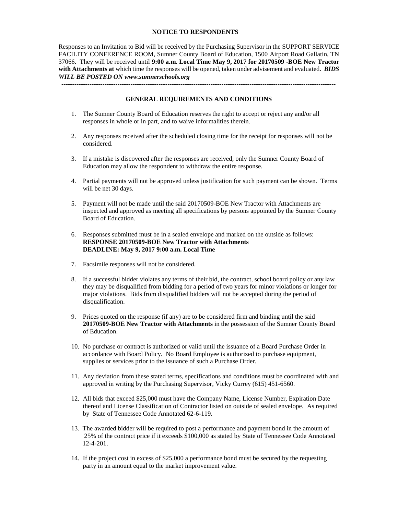#### **NOTICE TO RESPONDENTS**

Responses to an Invitation to Bid will be received by the Purchasing Supervisor in the SUPPORT SERVICE FACILITY CONFERENCE ROOM, Sumner County Board of Education, 1500 Airport Road Gallatin, TN 37066. They will be received until **9:00 a.m. Local Time May 9, 2017 for 20170509 -BOE New Tractor with Attachments at** which time the responses will be opened, taken under advisement and evaluated. *BIDS WILL BE POSTED ON www.sumnerschools.org*

**GENERAL REQUIREMENTS AND CONDITIONS**

-------------------------------------------------------------------------------------------------------------------------------

- 1. The Sumner County Board of Education reserves the right to accept or reject any and/or all responses in whole or in part, and to waive informalities therein.
- 2. Any responses received after the scheduled closing time for the receipt for responses will not be considered.
- 3. If a mistake is discovered after the responses are received, only the Sumner County Board of Education may allow the respondent to withdraw the entire response.
- 4. Partial payments will not be approved unless justification for such payment can be shown. Terms will be net 30 days.
- 5. Payment will not be made until the said 20170509-BOE New Tractor with Attachments are inspected and approved as meeting all specifications by persons appointed by the Sumner County Board of Education.
- 6. Responses submitted must be in a sealed envelope and marked on the outside as follows: **RESPONSE 20170509-BOE New Tractor with Attachments DEADLINE: May 9, 2017 9:00 a.m. Local Time**
- 7. Facsimile responses will not be considered.
- 8. If a successful bidder violates any terms of their bid, the contract, school board policy or any law they may be disqualified from bidding for a period of two years for minor violations or longer for major violations. Bids from disqualified bidders will not be accepted during the period of disqualification.
- 9. Prices quoted on the response (if any) are to be considered firm and binding until the said **20170509-BOE New Tractor with Attachments** in the possession of the Sumner County Board of Education.
- 10. No purchase or contract is authorized or valid until the issuance of a Board Purchase Order in accordance with Board Policy. No Board Employee is authorized to purchase equipment, supplies or services prior to the issuance of such a Purchase Order.
- 11. Any deviation from these stated terms, specifications and conditions must be coordinated with and approved in writing by the Purchasing Supervisor, Vicky Currey (615) 451-6560.
- 12. All bids that exceed \$25,000 must have the Company Name, License Number, Expiration Date thereof and License Classification of Contractor listed on outside of sealed envelope. As required by State of Tennessee Code Annotated 62-6-119.
- 13. The awarded bidder will be required to post a performance and payment bond in the amount of 25% of the contract price if it exceeds \$100,000 as stated by State of Tennessee Code Annotated 12-4-201.
- 14. If the project cost in excess of \$25,000 a performance bond must be secured by the requesting party in an amount equal to the market improvement value.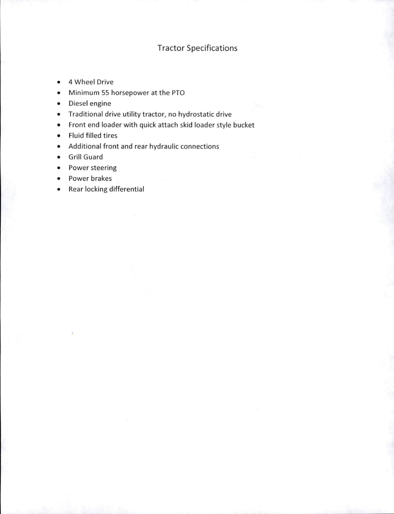# **Tractor Specifications**

- 4 Wheel Drive  $\bullet$
- Minimum 55 horsepower at the PTO  $\bullet$
- Diesel engine
- Traditional drive utility tractor, no hydrostatic drive
- Front end loader with quick attach skid loader style bucket
- Fluid filled tires
- Additional front and rear hydraulic connections
- Grill Guard
- Power steering
- Power brakes  $\bullet$
- Rear locking differential  $\bullet$